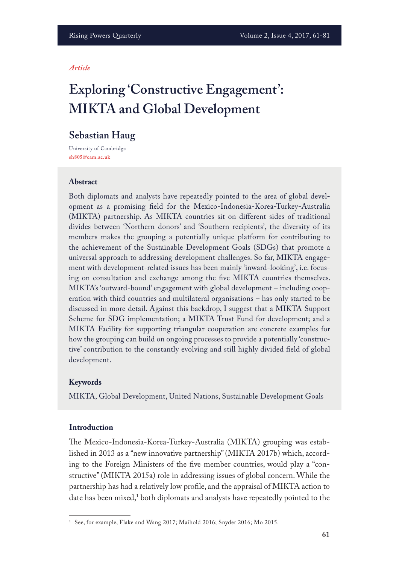#### *Article*

# **Exploring 'Constructive Engagement': MIKTA and Global Development**

# **Sebastian Haug**

University of Cambridge **sh805@cam.ac.uk**

#### **Abstract**

Both diplomats and analysts have repeatedly pointed to the area of global development as a promising feld for the Mexico-Indonesia-Korea-Turkey-Australia (MIKTA) partnership. As MIKTA countries sit on diferent sides of traditional divides between 'Northern donors' and 'Southern recipients', the diversity of its members makes the grouping a potentially unique platform for contributing to the achievement of the Sustainable Development Goals (SDGs) that promote a universal approach to addressing development challenges. So far, MIKTA engagement with development-related issues has been mainly 'inward-looking', i.e. focusing on consultation and exchange among the fve MIKTA countries themselves. MIKTA's 'outward-bound' engagement with global development – including cooperation with third countries and multilateral organisations – has only started to be discussed in more detail. Against this backdrop, I suggest that a MIKTA Support Scheme for SDG implementation; a MIKTA Trust Fund for development; and a MIKTA Facility for supporting triangular cooperation are concrete examples for how the grouping can build on ongoing processes to provide a potentially 'constructive' contribution to the constantly evolving and still highly divided feld of global development.

#### **Keywords**

MIKTA, Global Development, United Nations, Sustainable Development Goals

#### **Introduction**

The Mexico-Indonesia-Korea-Turkey-Australia (MIKTA) grouping was established in 2013 as a "new innovative partnership" (MIKTA 2017b) which, according to the Foreign Ministers of the fve member countries, would play a "constructive" (MIKTA 2015a) role in addressing issues of global concern. While the partnership has had a relatively low profle, and the appraisal of MIKTA action to date has been mixed,1 both diplomats and analysts have repeatedly pointed to the

<sup>1</sup> See, for example, Flake and Wang 2017; Maihold 2016; Snyder 2016; Mo 2015.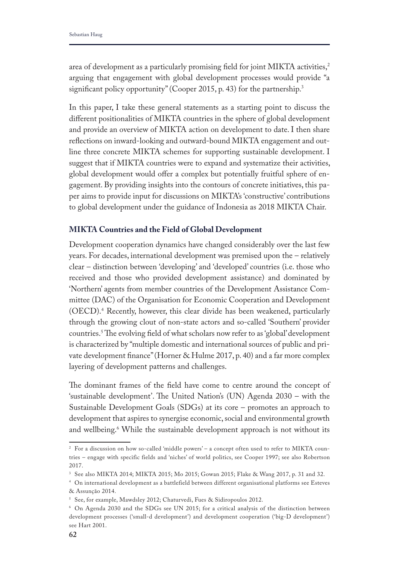area of development as a particularly promising field for joint MIKTA activities,<sup>2</sup> arguing that engagement with global development processes would provide "a significant policy opportunity" (Cooper 2015, p. 43) for the partnership.<sup>3</sup>

In this paper, I take these general statements as a starting point to discuss the diferent positionalities of MIKTA countries in the sphere of global development and provide an overview of MIKTA action on development to date. I then share refections on inward-looking and outward-bound MIKTA engagement and outline three concrete MIKTA schemes for supporting sustainable development. I suggest that if MIKTA countries were to expand and systematize their activities, global development would offer a complex but potentially fruitful sphere of engagement. By providing insights into the contours of concrete initiatives, this paper aims to provide input for discussions on MIKTA's 'constructive' contributions to global development under the guidance of Indonesia as 2018 MIKTA Chair.

#### **MIKTA Countries and the Field of Global Development**

Development cooperation dynamics have changed considerably over the last few years. For decades, international development was premised upon the – relatively clear – distinction between 'developing' and 'developed' countries (i.e. those who received and those who provided development assistance) and dominated by 'Northern' agents from member countries of the Development Assistance Committee (DAC) of the Organisation for Economic Cooperation and Development (OECD).4 Recently, however, this clear divide has been weakened, particularly through the growing clout of non-state actors and so-called 'Southern' provider countries.<sup>5</sup> The evolving field of what scholars now refer to as 'global' development is characterized by "multiple domestic and international sources of public and private development fnance" (Horner & Hulme 2017, p. 40) and a far more complex layering of development patterns and challenges.

The dominant frames of the field have come to centre around the concept of 'sustainable development'. The United Nation's (UN) Agenda  $2030$  – with the Sustainable Development Goals (SDGs) at its core – promotes an approach to development that aspires to synergise economic, social and environmental growth and wellbeing.6 While the sustainable development approach is not without its

<sup>2</sup> For a discussion on how so-called 'middle powers' – a concept often used to refer to MIKTA countries – engage with specific fields and 'niches' of world politics, see Cooper 1997; see also Robertson 2017.

<sup>3</sup> See also MIKTA 2014; MIKTA 2015; Mo 2015; Gowan 2015; Flake & Wang 2017, p. 31 and 32.

<sup>4</sup> On international development as a battlefield between different organisational platforms see Esteves & Assunção 2014.

<sup>5</sup> See, for example, Mawdsley 2012; Chaturvedi, Fues & Sidiropoulos 2012.

<sup>6</sup> On Agenda 2030 and the SDGs see UN 2015; for a critical analysis of the distinction between development processes ('small-d development') and development cooperation ('big-D development') see Hart 2001.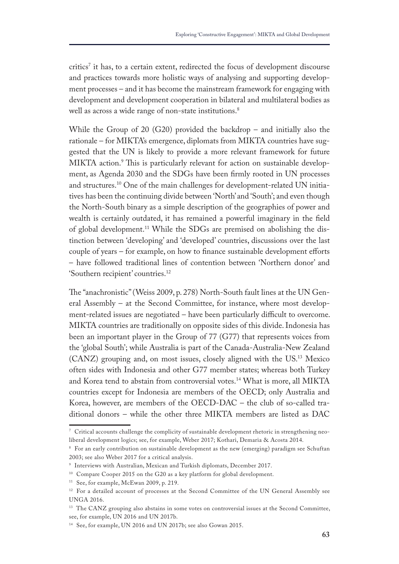critics<sup>7</sup> it has, to a certain extent, redirected the focus of development discourse and practices towards more holistic ways of analysing and supporting development processes – and it has become the mainstream framework for engaging with development and development cooperation in bilateral and multilateral bodies as well as across a wide range of non-state institutions.<sup>8</sup>

While the Group of 20 (G20) provided the backdrop – and initially also the rationale – for MIKTA's emergence, diplomats from MIKTA countries have suggested that the UN is likely to provide a more relevant framework for future MIKTA action.<sup>9</sup> This is particularly relevant for action on sustainable development, as Agenda 2030 and the SDGs have been frmly rooted in UN processes and structures.10 One of the main challenges for development-related UN initiatives has been the continuing divide between 'North' and 'South'; and even though the North-South binary as a simple description of the geographies of power and wealth is certainly outdated, it has remained a powerful imaginary in the feld of global development.<sup>11</sup> While the SDGs are premised on abolishing the distinction between 'developing' and 'developed' countries, discussions over the last couple of years – for example, on how to finance sustainable development efforts – have followed traditional lines of contention between 'Northern donor' and 'Southern recipient' countries.12

The "anachronistic" (Weiss 2009, p. 278) North-South fault lines at the UN General Assembly – at the Second Committee, for instance, where most development-related issues are negotiated – have been particularly difficult to overcome. MIKTA countries are traditionally on opposite sides of this divide. Indonesia has been an important player in the Group of 77 (G77) that represents voices from the 'global South'; while Australia is part of the Canada-Australia-New Zealand (CANZ) grouping and, on most issues, closely aligned with the US.13 Mexico often sides with Indonesia and other G77 member states; whereas both Turkey and Korea tend to abstain from controversial votes.<sup>14</sup> What is more, all MIKTA countries except for Indonesia are members of the OECD; only Australia and Korea, however, are members of the OECD-DAC – the club of so-called traditional donors – while the other three MIKTA members are listed as DAC

 $\frac{7}{10}$  Critical accounts challenge the complicity of sustainable development rhetoric in strengthening neoliberal development logics; see, for example, Weber 2017; Kothari, Demaria & Acosta 2014.

<sup>8</sup> For an early contribution on sustainable development as the new (emerging) paradigm see Schuftan 2003; see also Weber 2017 for a critical analysis.

<sup>9</sup> Interviews with Australian, Mexican and Turkish diplomats, December 2017.

<sup>&</sup>lt;sup>10</sup> Compare Cooper 2015 on the G20 as a key platform for global development.

<sup>&</sup>lt;sup>11</sup> See, for example, McEwan 2009, p. 219.

<sup>&</sup>lt;sup>12</sup> For a detailed account of processes at the Second Committee of the UN General Assembly see UNGA 2016.

<sup>&</sup>lt;sup>13</sup> The CANZ grouping also abstains in some votes on controversial issues at the Second Committee, see, for example, UN 2016 and UN 2017b.

<sup>14</sup> See, for example, UN 2016 and UN 2017b; see also Gowan 2015.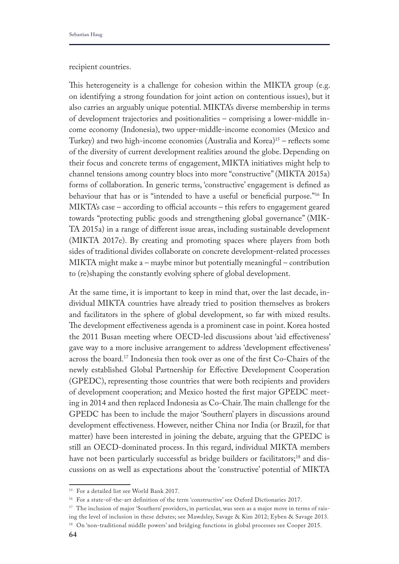recipient countries.

This heterogeneity is a challenge for cohesion within the MIKTA group (e.g. on identifying a strong foundation for joint action on contentious issues), but it also carries an arguably unique potential. MIKTA's diverse membership in terms of development trajectories and positionalities – comprising a lower-middle income economy (Indonesia), two upper-middle-income economies (Mexico and Turkey) and two high-income economies (Australia and Korea) $15$  – reflects some of the diversity of current development realities around the globe. Depending on their focus and concrete terms of engagement, MIKTA initiatives might help to channel tensions among country blocs into more "constructive" (MIKTA 2015a) forms of collaboration. In generic terms, 'constructive' engagement is defned as behaviour that has or is "intended to have a useful or benefcial purpose."16 In MIKTA's case  $-$  according to official accounts  $-$  this refers to engagement geared towards "protecting public goods and strengthening global governance" (MIK-TA 2015a) in a range of diferent issue areas, including sustainable development (MIKTA 2017e). By creating and promoting spaces where players from both sides of traditional divides collaborate on concrete development-related processes MIKTA might make a – maybe minor but potentially meaningful – contribution to (re)shaping the constantly evolving sphere of global development.

At the same time, it is important to keep in mind that, over the last decade, individual MIKTA countries have already tried to position themselves as brokers and facilitators in the sphere of global development, so far with mixed results. The development effectiveness agenda is a prominent case in point. Korea hosted the 2011 Busan meeting where OECD-led discussions about 'aid efectiveness' gave way to a more inclusive arrangement to address 'development efectiveness' across the board.17 Indonesia then took over as one of the frst Co-Chairs of the newly established Global Partnership for Efective Development Cooperation (GPEDC), representing those countries that were both recipients and providers of development cooperation; and Mexico hosted the frst major GPEDC meeting in 2014 and then replaced Indonesia as Co-Chair. The main challenge for the GPEDC has been to include the major 'Southern' players in discussions around development efectiveness. However, neither China nor India (or Brazil, for that matter) have been interested in joining the debate, arguing that the GPEDC is still an OECD-dominated process. In this regard, individual MIKTA members have not been particularly successful as bridge builders or facilitators;<sup>18</sup> and discussions on as well as expectations about the 'constructive' potential of MIKTA

<sup>15</sup> For a detailed list see World Bank 2017.

<sup>16</sup> For a state-of-the-art definition of the term 'constructive' see Oxford Dictionaries 2017.

<sup>&</sup>lt;sup>17</sup> The inclusion of major 'Southern' providers, in particular, was seen as a major move in terms of raising the level of inclusion in these debates; see Mawdsley, Savage & Kim 2012; Eyben & Savage 2013.

<sup>&</sup>lt;sup>18</sup> On 'non-traditional middle powers' and bridging functions in global processes see Cooper 2015.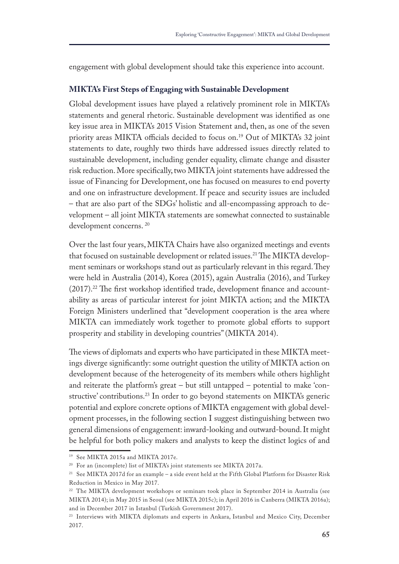engagement with global development should take this experience into account.

#### **MIKTA's First Steps of Engaging with Sustainable Development**

Global development issues have played a relatively prominent role in MIKTA's statements and general rhetoric. Sustainable development was identifed as one key issue area in MIKTA's 2015 Vision Statement and, then, as one of the seven priority areas MIKTA officials decided to focus on.<sup>19</sup> Out of MIKTA's 32 joint statements to date, roughly two thirds have addressed issues directly related to sustainable development, including gender equality, climate change and disaster risk reduction. More specifcally, two MIKTA joint statements have addressed the issue of Financing for Development, one has focused on measures to end poverty and one on infrastructure development. If peace and security issues are included – that are also part of the SDGs' holistic and all-encompassing approach to development – all joint MIKTA statements are somewhat connected to sustainable development concerns. 20

Over the last four years, MIKTA Chairs have also organized meetings and events that focused on sustainable development or related issues.<sup>21</sup> The MIKTA development seminars or workshops stand out as particularly relevant in this regard. They were held in Australia (2014), Korea (2015), again Australia (2016), and Turkey  $(2017).<sup>22</sup>$  The first workshop identified trade, development finance and accountability as areas of particular interest for joint MIKTA action; and the MIKTA Foreign Ministers underlined that "development cooperation is the area where MIKTA can immediately work together to promote global efforts to support prosperity and stability in developing countries" (MIKTA 2014).

The views of diplomats and experts who have participated in these MIKTA meetings diverge signifcantly: some outright question the utility of MIKTA action on development because of the heterogeneity of its members while others highlight and reiterate the platform's great – but still untapped – potential to make 'constructive' contributions.<sup>23</sup> In order to go beyond statements on MIKTA's generic potential and explore concrete options of MIKTA engagement with global development processes, in the following section I suggest distinguishing between two general dimensions of engagement: inward-looking and outward-bound. It might be helpful for both policy makers and analysts to keep the distinct logics of and

<sup>19</sup> See MIKTA 2015a and MIKTA 2017e.

<sup>20</sup> For an (incomplete) list of MIKTA's joint statements see MIKTA 2017a.

<sup>21</sup> See MIKTA 2017d for an example – a side event held at the Fifth Global Platform for Disaster Risk Reduction in Mexico in May 2017.

<sup>22</sup> The MIKTA development workshops or seminars took place in September 2014 in Australia (see MIKTA 2014); in May 2015 in Seoul (see MIKTA 2015c); in April 2016 in Canberra (MIKTA 2016a); and in December 2017 in Istanbul (Turkish Government 2017).

<sup>&</sup>lt;sup>23</sup> Interviews with MIKTA diplomats and experts in Ankara, Istanbul and Mexico City, December 2017.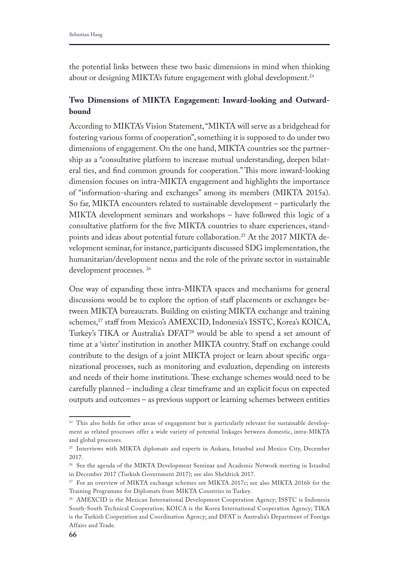the potential links between these two basic dimensions in mind when thinking about or designing MIKTA's future engagement with global development.<sup>24</sup>

## **Two Dimensions of MIKTA Engagement: Inward-looking and Outwardbound**

According to MIKTA's Vision Statement, "MIKTA will serve as a bridgehead for fostering various forms of cooperation", something it is supposed to do under two dimensions of engagement. On the one hand, MIKTA countries see the partnership as a "consultative platform to increase mutual understanding, deepen bilateral ties, and find common grounds for cooperation." This more inward-looking dimension focuses on intra-MIKTA engagement and highlights the importance of "information-sharing and exchanges" among its members (MIKTA 2015a). So far, MIKTA encounters related to sustainable development – particularly the MIKTA development seminars and workshops – have followed this logic of a consultative platform for the fve MIKTA countries to share experiences, standpoints and ideas about potential future collaboration.<sup>25</sup> At the 2017 MIKTA development seminar, for instance, participants discussed SDG implementation, the humanitarian/development nexus and the role of the private sector in sustainable development processes. 26

One way of expanding these intra-MIKTA spaces and mechanisms for general discussions would be to explore the option of staff placements or exchanges between MIKTA bureaucrats. Building on existing MIKTA exchange and training schemes,<sup>27</sup> staff from Mexico's AMEXCID, Indonesia's ISSTC, Korea's KOICA, Turkey's TIKA or Australia's DFAT28 would be able to spend a set amount of time at a 'sister' institution in another MIKTA country. Staff on exchange could contribute to the design of a joint MIKTA project or learn about specifc organizational processes, such as monitoring and evaluation, depending on interests and needs of their home institutions. These exchange schemes would need to be carefully planned – including a clear timeframe and an explicit focus on expected outputs and outcomes – as previous support or learning schemes between entities

<sup>&</sup>lt;sup>24</sup> This also holds for other areas of engagement but is particularly relevant for sustainable development as related processes offer a wide variety of potential linkages between domestic, intra-MIKTA and global processes.

<sup>&</sup>lt;sup>25</sup> Interviews with MIKTA diplomats and experts in Ankara, Istanbul and Mexico City, December 2017.

<sup>26</sup> See the agenda of the MIKTA Development Seminar and Academic Network meeting in Istanbul in December 2017 (Turkish Government 2017); see also Sheldrick 2017.

<sup>27</sup> For an overview of MIKTA exchange schemes see MIKTA 2017c; see also MIKTA 2016b for the Training Programme for Diplomats from MIKTA Countries in Turkey.

<sup>&</sup>lt;sup>28</sup> AMEXCID is the Mexican International Development Cooperation Agency; ISSTC is Indonesia South-South Technical Cooperation; KOICA is the Korea International Cooperation Agency; TIKA is the Turkish Cooperation and Coordination Agency; and DFAT is Australia's Department of Foreign Affairs and Trade.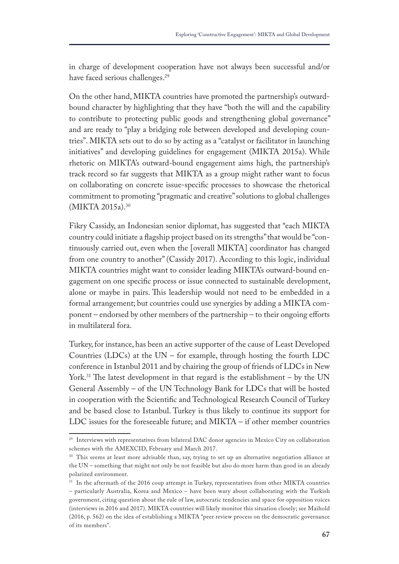in charge of development cooperation have not always been successful and/or have faced serious challenges.<sup>29</sup>

On the other hand, MIKTA countries have promoted the partnership's outwardbound character by highlighting that they have "both the will and the capability to contribute to protecting public goods and strengthening global governance" and are ready to "play a bridging role between developed and developing countries". MIKTA sets out to do so by acting as a "catalyst or facilitator in launching initiatives" and developing guidelines for engagement (MIKTA 2015a). While rhetoric on MIKTA's outward-bound engagement aims high, the partnership's track record so far suggests that MIKTA as a group might rather want to focus on collaborating on concrete issue-specifc processes to showcase the rhetorical commitment to promoting "pragmatic and creative" solutions to global challenges (MIKTA 2015a).<sup>30</sup>

Fikry Cassidy, an Indonesian senior diplomat, has suggested that "each MIKTA country could initiate a fagship project based on its strengths" that would be "continuously carried out, even when the [overall MIKTA] coordinator has changed from one country to another" (Cassidy 2017). According to this logic, individual MIKTA countries might want to consider leading MIKTA's outward-bound engagement on one specifc process or issue connected to sustainable development, alone or maybe in pairs. This leadership would not need to be embedded in a formal arrangement; but countries could use synergies by adding a MIKTA component – endorsed by other members of the partnership – to their ongoing efforts in multilateral fora.

Turkey, for instance, has been an active supporter of the cause of Least Developed Countries (LDCs) at the UN – for example, through hosting the fourth LDC conference in Istanbul 2011 and by chairing the group of friends of LDCs in New York.<sup>31</sup> The latest development in that regard is the establishment – by the UN General Assembly – of the UN Technology Bank for LDCs that will be hosted in cooperation with the Scientifc and Technological Research Council of Turkey and be based close to Istanbul. Turkey is thus likely to continue its support for LDC issues for the foreseeable future; and MIKTA – if other member countries

<sup>&</sup>lt;sup>29</sup> Interviews with representatives from bilateral DAC donor agencies in Mexico City on collaboration schemes with the AMEXCID, February and March 2017.

<sup>&</sup>lt;sup>30</sup> This seems at least more advisable than, say, trying to set up an alternative negotiation alliance at the UN – something that might not only be not feasible but also do more harm than good in an already polarized environment.

<sup>&</sup>lt;sup>31</sup> In the aftermath of the 2016 coup attempt in Turkey, representatives from other MIKTA countries – particularly Australia, Korea and Mexico – have been wary about collaborating with the Turkish government, citing question about the rule of law, autocratic tendencies and space for opposition voices (interviews in 2016 and 2017). MIKTA countries will likely monitor this situation closely; see Maihold (2016, p. 562) on the idea of establishing a MIKTA "peer review process on the democratic governance of its members".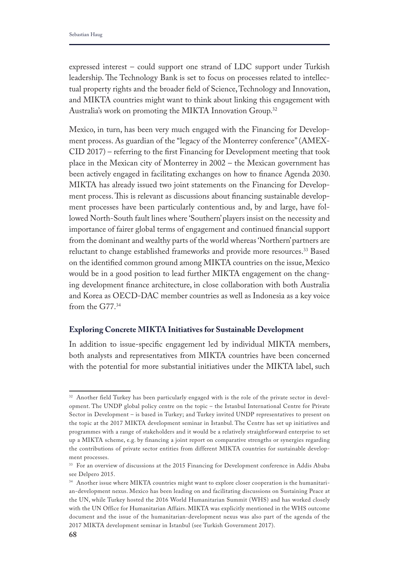expressed interest – could support one strand of LDC support under Turkish leadership. The Technology Bank is set to focus on processes related to intellectual property rights and the broader feld of Science, Technology and Innovation, and MIKTA countries might want to think about linking this engagement with Australia's work on promoting the MIKTA Innovation Group.<sup>32</sup>

Mexico, in turn, has been very much engaged with the Financing for Development process. As guardian of the "legacy of the Monterrey conference" (AMEX-CID 2017) – referring to the frst Financing for Development meeting that took place in the Mexican city of Monterrey in 2002 – the Mexican government has been actively engaged in facilitating exchanges on how to fnance Agenda 2030. MIKTA has already issued two joint statements on the Financing for Development process. This is relevant as discussions about financing sustainable development processes have been particularly contentious and, by and large, have followed North-South fault lines where 'Southern' players insist on the necessity and importance of fairer global terms of engagement and continued fnancial support from the dominant and wealthy parts of the world whereas 'Northern' partners are reluctant to change established frameworks and provide more resources.<sup>33</sup> Based on the identifed common ground among MIKTA countries on the issue, Mexico would be in a good position to lead further MIKTA engagement on the changing development fnance architecture, in close collaboration with both Australia and Korea as OECD-DAC member countries as well as Indonesia as a key voice from the G77.34

#### **Exploring Concrete MIKTA Initiatives for Sustainable Development**

In addition to issue-specifc engagement led by individual MIKTA members, both analysts and representatives from MIKTA countries have been concerned with the potential for more substantial initiatives under the MIKTA label, such

<sup>&</sup>lt;sup>32</sup> Another field Turkey has been particularly engaged with is the role of the private sector in development. The UNDP global policy centre on the topic – the Istanbul International Centre for Private Sector in Development – is based in Turkey; and Turkey invited UNDP representatives to present on the topic at the 2017 MIKTA development seminar in Istanbul. The Centre has set up initiatives and programmes with a range of stakeholders and it would be a relatively straightforward enterprise to set up a MIKTA scheme, e.g. by financing a joint report on comparative strengths or synergies regarding the contributions of private sector entities from different MIKTA countries for sustainable development processes.

<sup>&</sup>lt;sup>33</sup> For an overview of discussions at the 2015 Financing for Development conference in Addis Ababa see Delpero 2015.

<sup>34</sup> Another issue where MIKTA countries might want to explore closer cooperation is the humanitarian-development nexus. Mexico has been leading on and facilitating discussions on Sustaining Peace at the UN, while Turkey hosted the 2016 World Humanitarian Summit (WHS) and has worked closely with the UN Office for Humanitarian Affairs. MIKTA was explicitly mentioned in the WHS outcome document and the issue of the humanitarian-development nexus was also part of the agenda of the 2017 MIKTA development seminar in Istanbul (see Turkish Government 2017).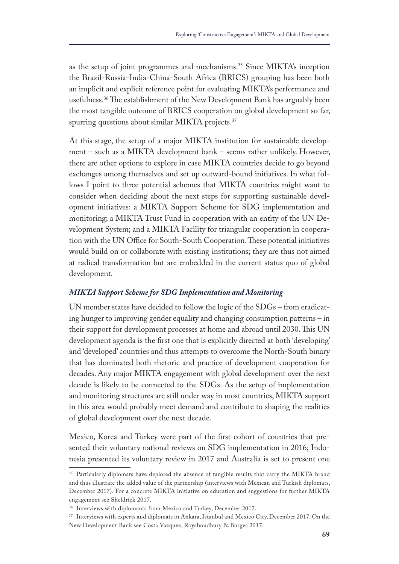as the setup of joint programmes and mechanisms.35 Since MIKTA's inception the Brazil-Russia-India-China-South Africa (BRICS) grouping has been both an implicit and explicit reference point for evaluating MIKTA's performance and usefulness.<sup>36</sup>The establishment of the New Development Bank has arguably been the most tangible outcome of BRICS cooperation on global development so far, spurring questions about similar MIKTA projects.<sup>37</sup>

At this stage, the setup of a major MIKTA institution for sustainable development – such as a MIKTA development bank – seems rather unlikely. However, there are other options to explore in case MIKTA countries decide to go beyond exchanges among themselves and set up outward-bound initiatives. In what follows I point to three potential schemes that MIKTA countries might want to consider when deciding about the next steps for supporting sustainable development initiatives: a MIKTA Support Scheme for SDG implementation and monitoring; a MIKTA Trust Fund in cooperation with an entity of the UN Development System; and a MIKTA Facility for triangular cooperation in cooperation with the UN Office for South-South Cooperation. These potential initiatives would build on or collaborate with existing institutions; they are thus not aimed at radical transformation but are embedded in the current status quo of global development.

#### *MIKTA Support Scheme for SDG Implementation and Monitoring*

UN member states have decided to follow the logic of the SDGs – from eradicating hunger to improving gender equality and changing consumption patterns – in their support for development processes at home and abroad until 2030. This UN development agenda is the frst one that is explicitly directed at both 'developing' and 'developed' countries and thus attempts to overcome the North-South binary that has dominated both rhetoric and practice of development cooperation for decades. Any major MIKTA engagement with global development over the next decade is likely to be connected to the SDGs. As the setup of implementation and monitoring structures are still under way in most countries, MIKTA support in this area would probably meet demand and contribute to shaping the realities of global development over the next decade.

Mexico, Korea and Turkey were part of the frst cohort of countries that presented their voluntary national reviews on SDG implementation in 2016; Indonesia presented its voluntary review in 2017 and Australia is set to present one

<sup>&</sup>lt;sup>35</sup> Particularly diplomats have deplored the absence of tangible results that carry the MIKTA brand and thus illustrate the added value of the partnership (interviews with Mexican and Turkish diplomats, December 2017). For a concrete MIKTA initiative on education and suggestions for further MIKTA engagement see Sheldrick 2017.

<sup>&</sup>lt;sup>36</sup> Interviews with diplomants from Mexico and Turkey, December 2017.

<sup>&</sup>lt;sup>37</sup> Interviews with experts and diplomats in Ankara, Istanbul and Mexico City, December 2017. On the New Development Bank see Costa Vazquez, Roychoudhury & Borges 2017.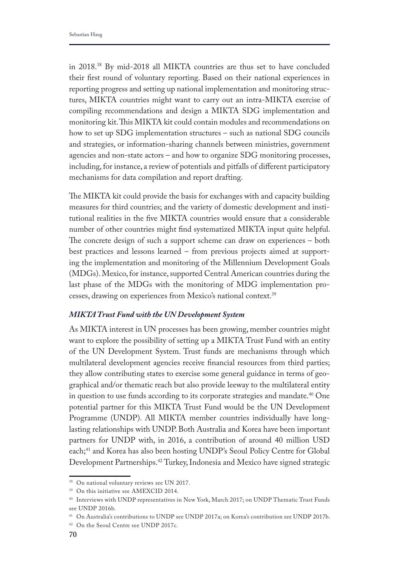in 2018.38 By mid-2018 all MIKTA countries are thus set to have concluded their frst round of voluntary reporting. Based on their national experiences in reporting progress and setting up national implementation and monitoring structures, MIKTA countries might want to carry out an intra-MIKTA exercise of compiling recommendations and design a MIKTA SDG implementation and monitoring kit. This MIKTA kit could contain modules and recommendations on how to set up SDG implementation structures – such as national SDG councils and strategies, or information-sharing channels between ministries, government agencies and non-state actors – and how to organize SDG monitoring processes, including, for instance, a review of potentials and pitfalls of diferent participatory mechanisms for data compilation and report drafting.

The MIKTA kit could provide the basis for exchanges with and capacity building measures for third countries; and the variety of domestic development and institutional realities in the fve MIKTA countries would ensure that a considerable number of other countries might fnd systematized MIKTA input quite helpful. The concrete design of such a support scheme can draw on experiences  $-$  both best practices and lessons learned – from previous projects aimed at supporting the implementation and monitoring of the Millennium Development Goals (MDGs). Mexico, for instance, supported Central American countries during the last phase of the MDGs with the monitoring of MDG implementation processes, drawing on experiences from Mexico's national context.<sup>39</sup>

#### *MIKTA Trust Fund with the UN Development System*

As MIKTA interest in UN processes has been growing, member countries might want to explore the possibility of setting up a MIKTA Trust Fund with an entity of the UN Development System. Trust funds are mechanisms through which multilateral development agencies receive fnancial resources from third parties; they allow contributing states to exercise some general guidance in terms of geographical and/or thematic reach but also provide leeway to the multilateral entity in question to use funds according to its corporate strategies and mandate.<sup>40</sup> One potential partner for this MIKTA Trust Fund would be the UN Development Programme (UNDP). All MIKTA member countries individually have longlasting relationships with UNDP. Both Australia and Korea have been important partners for UNDP with, in 2016, a contribution of around 40 million USD each;<sup>41</sup> and Korea has also been hosting UNDP's Seoul Policy Centre for Global Development Partnerships.42 Turkey, Indonesia and Mexico have signed strategic

<sup>38</sup> On national voluntary reviews see UN 2017.

<sup>&</sup>lt;sup>39</sup> On this initiative see AMEXCID 2014.

<sup>40</sup> Interviews with UNDP representatives in New York, March 2017; on UNDP Thematic Trust Funds see UNDP 2016b.

<sup>41</sup> On Australia's contributions to UNDP see UNDP 2017a; on Korea's contribution see UNDP 2017b.

<sup>42</sup> On the Seoul Centre see UNDP 2017c.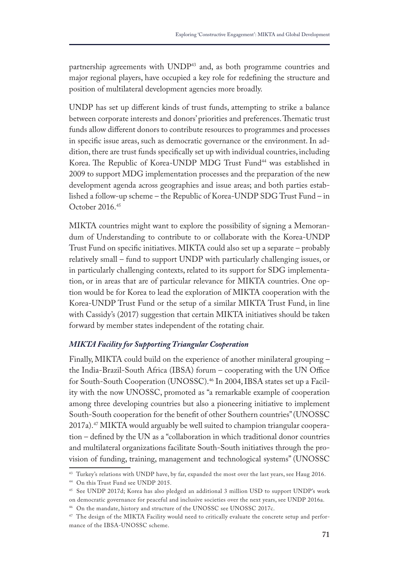partnership agreements with UNDP<sup>43</sup> and, as both programme countries and major regional players, have occupied a key role for redefning the structure and position of multilateral development agencies more broadly.

UNDP has set up diferent kinds of trust funds, attempting to strike a balance between corporate interests and donors' priorities and preferences. Thematic trust funds allow diferent donors to contribute resources to programmes and processes in specifc issue areas, such as democratic governance or the environment. In addition, there are trust funds specifcally set up with individual countries, including Korea. The Republic of Korea-UNDP MDG Trust Fund<sup>44</sup> was established in 2009 to support MDG implementation processes and the preparation of the new development agenda across geographies and issue areas; and both parties established a follow-up scheme – the Republic of Korea-UNDP SDG Trust Fund – in October 2016.45

MIKTA countries might want to explore the possibility of signing a Memorandum of Understanding to contribute to or collaborate with the Korea-UNDP Trust Fund on specifc initiatives. MIKTA could also set up a separate – probably relatively small – fund to support UNDP with particularly challenging issues, or in particularly challenging contexts, related to its support for SDG implementation, or in areas that are of particular relevance for MIKTA countries. One option would be for Korea to lead the exploration of MIKTA cooperation with the Korea-UNDP Trust Fund or the setup of a similar MIKTA Trust Fund, in line with Cassidy's (2017) suggestion that certain MIKTA initiatives should be taken forward by member states independent of the rotating chair.

## *MIKTA Facility for Supporting Triangular Cooperation*

Finally, MIKTA could build on the experience of another minilateral grouping – the India-Brazil-South Africa (IBSA) forum  $-$  cooperating with the UN Office for South-South Cooperation (UNOSSC).46 In 2004, IBSA states set up a Facility with the now UNOSSC, promoted as "a remarkable example of cooperation among three developing countries but also a pioneering initiative to implement South-South cooperation for the beneft of other Southern countries" (UNOSSC 2017a).47 MIKTA would arguably be well suited to champion triangular cooperation – defned by the UN as a "collaboration in which traditional donor countries and multilateral organizations facilitate South-South initiatives through the provision of funding, training, management and technological systems" (UNOSSC

<sup>&</sup>lt;sup>43</sup> Turkey's relations with UNDP have, by far, expanded the most over the last years, see Haug 2016.

<sup>44</sup> On this Trust Fund see UNDP 2015.

<sup>45</sup> See UNDP 2017d; Korea has also pledged an additional 3 million USD to support UNDP's work on democratic governance for peaceful and inclusive societies over the next years, see UNDP 2016a.

<sup>46</sup> On the mandate, history and structure of the UNOSSC see UNOSSC 2017c.

<sup>&</sup>lt;sup>47</sup> The design of the MIKTA Facility would need to critically evaluate the concrete setup and performance of the IBSA-UNOSSC scheme.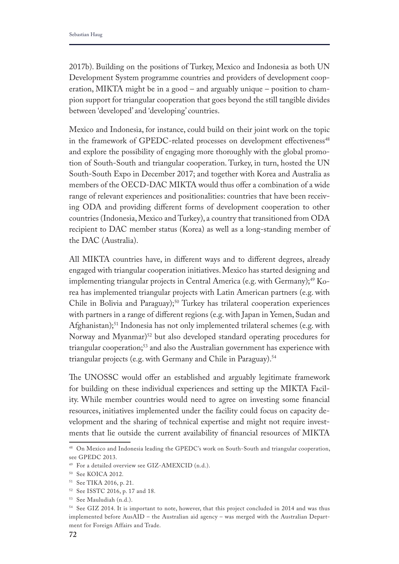2017b). Building on the positions of Turkey, Mexico and Indonesia as both UN Development System programme countries and providers of development cooperation, MIKTA might be in a good – and arguably unique – position to champion support for triangular cooperation that goes beyond the still tangible divides between 'developed' and 'developing' countries.

Mexico and Indonesia, for instance, could build on their joint work on the topic in the framework of GPEDC-related processes on development effectiveness<sup>48</sup> and explore the possibility of engaging more thoroughly with the global promotion of South-South and triangular cooperation. Turkey, in turn, hosted the UN South-South Expo in December 2017; and together with Korea and Australia as members of the OECD-DAC MIKTA would thus offer a combination of a wide range of relevant experiences and positionalities: countries that have been receiving ODA and providing diferent forms of development cooperation to other countries (Indonesia, Mexico and Turkey), a country that transitioned from ODA recipient to DAC member status (Korea) as well as a long-standing member of the DAC (Australia).

All MIKTA countries have, in diferent ways and to diferent degrees, already engaged with triangular cooperation initiatives. Mexico has started designing and implementing triangular projects in Central America (e.g. with Germany);<sup>49</sup> Korea has implemented triangular projects with Latin American partners (e.g. with Chile in Bolivia and Paraguay);<sup>50</sup> Turkey has trilateral cooperation experiences with partners in a range of diferent regions (e.g. with Japan in Yemen, Sudan and Afghanistan);<sup>51</sup> Indonesia has not only implemented trilateral schemes (e.g. with Norway and Myanmar)<sup>52</sup> but also developed standard operating procedures for triangular cooperation;<sup>53</sup> and also the Australian government has experience with triangular projects (e.g. with Germany and Chile in Paraguay).<sup>54</sup>

The UNOSSC would offer an established and arguably legitimate framework for building on these individual experiences and setting up the MIKTA Facility. While member countries would need to agree on investing some fnancial resources, initiatives implemented under the facility could focus on capacity development and the sharing of technical expertise and might not require investments that lie outside the current availability of fnancial resources of MIKTA

<sup>48</sup> On Mexico and Indonesia leading the GPEDC's work on South-South and triangular cooperation, see GPEDC 2013.

<sup>49</sup> For a detailed overview see GIZ-AMEXCID (n.d.).

<sup>50</sup> See KOICA 2012.

<sup>51</sup> See TIKA 2016, p. 21.

<sup>52</sup> See ISSTC 2016, p. 17 and 18.

<sup>53</sup> See Mauludiah (n.d.).

<sup>&</sup>lt;sup>54</sup> See GIZ 2014. It is important to note, however, that this project concluded in 2014 and was thus implemented before AusAID – the Australian aid agency – was merged with the Australian Department for Foreign Affairs and Trade.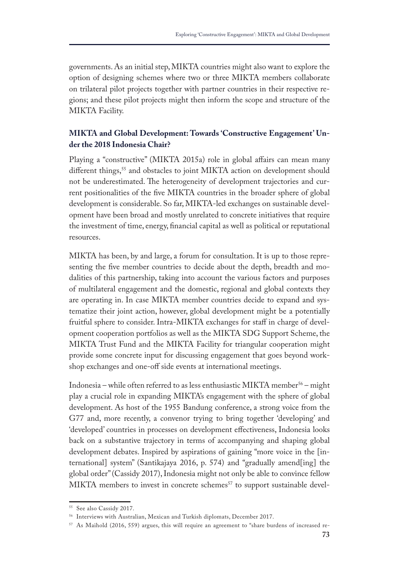governments. As an initial step, MIKTA countries might also want to explore the option of designing schemes where two or three MIKTA members collaborate on trilateral pilot projects together with partner countries in their respective regions; and these pilot projects might then inform the scope and structure of the MIKTA Facility.

# **MIKTA and Global Development: Towards 'Constructive Engagement' Under the 2018 Indonesia Chair?**

Playing a "constructive" (MIKTA 2015a) role in global affairs can mean many different things,<sup>55</sup> and obstacles to joint MIKTA action on development should not be underestimated. The heterogeneity of development trajectories and current positionalities of the fve MIKTA countries in the broader sphere of global development is considerable. So far, MIKTA-led exchanges on sustainable development have been broad and mostly unrelated to concrete initiatives that require the investment of time, energy, fnancial capital as well as political or reputational resources.

MIKTA has been, by and large, a forum for consultation. It is up to those representing the fve member countries to decide about the depth, breadth and modalities of this partnership, taking into account the various factors and purposes of multilateral engagement and the domestic, regional and global contexts they are operating in. In case MIKTA member countries decide to expand and systematize their joint action, however, global development might be a potentially fruitful sphere to consider. Intra-MIKTA exchanges for staf in charge of development cooperation portfolios as well as the MIKTA SDG Support Scheme, the MIKTA Trust Fund and the MIKTA Facility for triangular cooperation might provide some concrete input for discussing engagement that goes beyond workshop exchanges and one-off side events at international meetings.

Indonesia – while often referred to as less enthusiastic MIKTA member<sup>56</sup> – might play a crucial role in expanding MIKTA's engagement with the sphere of global development. As host of the 1955 Bandung conference, a strong voice from the G77 and, more recently, a convenor trying to bring together 'developing' and 'developed' countries in processes on development efectiveness, Indonesia looks back on a substantive trajectory in terms of accompanying and shaping global development debates. Inspired by aspirations of gaining "more voice in the [international] system" (Santikajaya 2016, p. 574) and "gradually amend[ing] the global order" (Cassidy 2017), Indonesia might not only be able to convince fellow MIKTA members to invest in concrete schemes<sup>57</sup> to support sustainable devel-

<sup>55</sup> See also Cassidy 2017.

<sup>56</sup> Interviews with Australian, Mexican and Turkish diplomats, December 2017.

<sup>57</sup> As Maihold (2016, 559) argues, this will require an agreement to "share burdens of increased re-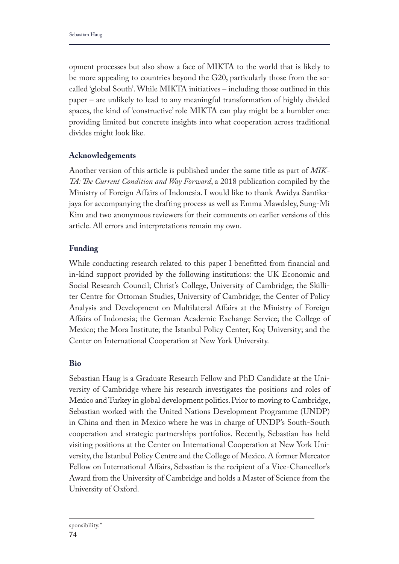opment processes but also show a face of MIKTA to the world that is likely to be more appealing to countries beyond the G20, particularly those from the socalled 'global South'. While MIKTA initiatives – including those outlined in this paper – are unlikely to lead to any meaningful transformation of highly divided spaces, the kind of 'constructive' role MIKTA can play might be a humbler one: providing limited but concrete insights into what cooperation across traditional divides might look like.

## **Acknowledgements**

Another version of this article is published under the same title as part of *MIK-TA: Te Current Condition and Way Forward*, a 2018 publication compiled by the Ministry of Foreign Afairs of Indonesia. I would like to thank Awidya Santikajaya for accompanying the drafting process as well as Emma Mawdsley, Sung-Mi Kim and two anonymous reviewers for their comments on earlier versions of this article. All errors and interpretations remain my own.

## **Funding**

While conducting research related to this paper I beneftted from fnancial and in-kind support provided by the following institutions: the UK Economic and Social Research Council; Christ's College, University of Cambridge; the Skilliter Centre for Ottoman Studies, University of Cambridge; the Center of Policy Analysis and Development on Multilateral Afairs at the Ministry of Foreign Afairs of Indonesia; the German Academic Exchange Service; the College of Mexico; the Mora Institute; the Istanbul Policy Center; Koç University; and the Center on International Cooperation at New York University.

## **Bio**

Sebastian Haug is a Graduate Research Fellow and PhD Candidate at the University of Cambridge where his research investigates the positions and roles of Mexico and Turkey in global development politics. Prior to moving to Cambridge, Sebastian worked with the United Nations Development Programme (UNDP) in China and then in Mexico where he was in charge of UNDP's South-South cooperation and strategic partnerships portfolios. Recently, Sebastian has held visiting positions at the Center on International Cooperation at New York University, the Istanbul Policy Centre and the College of Mexico. A former Mercator Fellow on International Afairs, Sebastian is the recipient of a Vice-Chancellor's Award from the University of Cambridge and holds a Master of Science from the University of Oxford.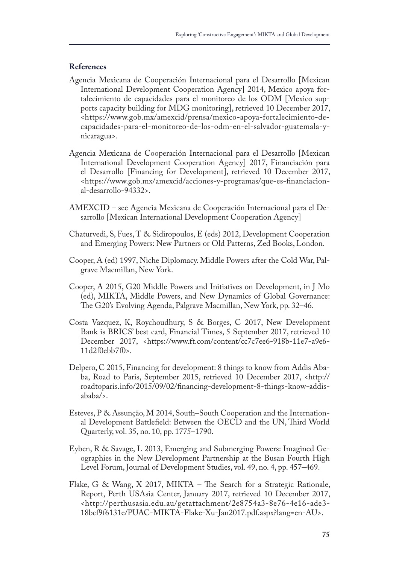#### **References**

- Agencia Mexicana de Cooperación Internacional para el Desarrollo [Mexican International Development Cooperation Agency] 2014, Mexico apoya fortalecimiento de capacidades para el monitoreo de los ODM [Mexico supports capacity building for MDG monitoring], retrieved 10 December 2017, <https://www.gob.mx/amexcid/prensa/mexico-apoya-fortalecimiento-decapacidades-para-el-monitoreo-de-los-odm-en-el-salvador-guatemala-ynicaragua>.
- Agencia Mexicana de Cooperación Internacional para el Desarrollo [Mexican International Development Cooperation Agency] 2017, Financiación para el Desarrollo [Financing for Development], retrieved 10 December 2017, <https://www.gob.mx/amexcid/acciones-y-programas/que-es-fnanciacional-desarrollo-94332>.
- AMEXCID see Agencia Mexicana de Cooperación Internacional para el Desarrollo [Mexican International Development Cooperation Agency]
- Chaturvedi, S, Fues, T & Sidiropoulos, E (eds) 2012, Development Cooperation and Emerging Powers: New Partners or Old Patterns, Zed Books, London.
- Cooper, A (ed) 1997, Niche Diplomacy. Middle Powers after the Cold War, Palgrave Macmillan, New York.
- Cooper, A 2015, G20 Middle Powers and Initiatives on Development, in J Mo (ed), MIKTA, Middle Powers, and New Dynamics of Global Governance: The G20's Evolving Agenda, Palgrave Macmillan, New York, pp. 32–46.
- Costa Vazquez, K, Roychoudhury, S & Borges, C 2017, New Development Bank is BRICS' best card, Financial Times, 5 September 2017, retrieved 10 December 2017, <https://www.ft.com/content/cc7c7ee6-918b-11e7-a9e6- 11d2f0ebb7f0>.
- Delpero, C 2015, Financing for development: 8 things to know from Addis Ababa, Road to Paris, September 2015, retrieved 10 December 2017, <http:// roadtoparis.info/2015/09/02/fnancing-development-8-things-know-addisababa/>.
- Esteves, P & Assunção, M 2014, South–South Cooperation and the International Development Battlefeld: Between the OECD and the UN, Tird World Quarterly, vol. 35, no. 10, pp. 1775–1790.
- Eyben, R & Savage, L 2013, Emerging and Submerging Powers: Imagined Geographies in the New Development Partnership at the Busan Fourth High Level Forum, Journal of Development Studies, vol. 49, no. 4, pp. 457–469.
- Flake, G & Wang, X 2017, MIKTA The Search for a Strategic Rationale, Report, Perth USAsia Center, January 2017, retrieved 10 December 2017, <http://perthusasia.edu.au/getattachment/2e8754a3-8e76-4e16-ade3- 18bcf9f6131e/PUAC-MIKTA-Flake-Xu-Jan2017.pdf.aspx?lang=en-AU>.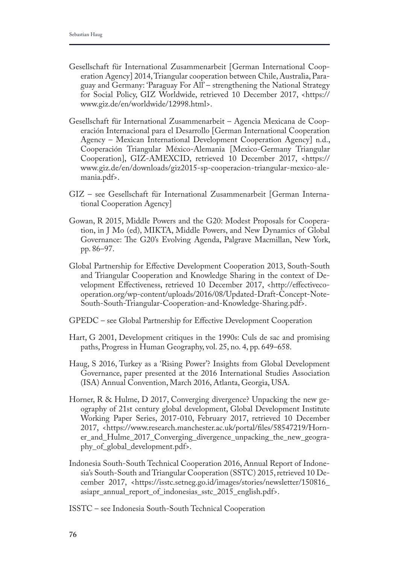- Gesellschaft für International Zusammenarbeit [German International Cooperation Agency] 2014, Triangular cooperation between Chile, Australia, Paraguay and Germany: 'Paraguay For All' – strengthening the National Strategy for Social Policy, GIZ Worldwide, retrieved 10 December 2017, <https:// www.giz.de/en/worldwide/12998.html>.
- Gesellschaft für International Zusammenarbeit Agencia Mexicana de Cooperación Internacional para el Desarrollo [German International Cooperation Agency – Mexican International Development Cooperation Agency] n.d., Cooperación Triangular México-Alemania [Mexico-Germany Triangular Cooperation], GIZ-AMEXCID, retrieved 10 December 2017, <https:// www.giz.de/en/downloads/giz2015-sp-cooperacion-triangular-mexico-alemania.pdf>.
- GIZ see Gesellschaft für International Zusammenarbeit [German International Cooperation Agency]
- Gowan, R 2015, Middle Powers and the G20: Modest Proposals for Cooperation, in J Mo (ed), MIKTA, Middle Powers, and New Dynamics of Global Governance: The G20's Evolving Agenda, Palgrave Macmillan, New York, pp. 86–97.
- Global Partnership for Efective Development Cooperation 2013, South-South and Triangular Cooperation and Knowledge Sharing in the context of Development Efectiveness, retrieved 10 December 2017, <http://efectivecooperation.org/wp-content/uploads/2016/08/Updated-Draft-Concept-Note-South-South-Triangular-Cooperation-and-Knowledge-Sharing.pdf>.
- GPEDC see Global Partnership for Efective Development Cooperation
- Hart, G 2001, Development critiques in the 1990s: Culs de sac and promising paths, Progress in Human Geography, vol. 25, no. 4, pp. 649–658.
- Haug, S 2016, Turkey as a 'Rising Power'? Insights from Global Development Governance, paper presented at the 2016 International Studies Association (ISA) Annual Convention, March 2016, Atlanta, Georgia, USA.
- Horner, R & Hulme, D 2017, Converging divergence? Unpacking the new geography of 21st century global development, Global Development Institute Working Paper Series, 2017-010, February 2017, retrieved 10 December 2017, <https://www.research.manchester.ac.uk/portal/fles/58547219/Horner\_and\_Hulme\_2017\_Converging\_divergence\_unpacking\_the\_new\_geography\_of\_global\_development.pdf>.
- Indonesia South-South Technical Cooperation 2016, Annual Report of Indonesia's South-South and Triangular Cooperation (SSTC) 2015, retrieved 10 December 2017, <https://isstc.setneg.go.id/images/stories/newsletter/150816\_ asiapr\_annual\_report\_of\_indonesias\_sstc\_2015\_english.pdf>.
- ISSTC see Indonesia South-South Technical Cooperation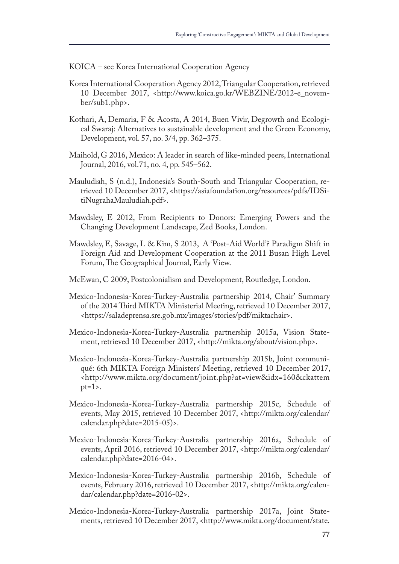KOICA – see Korea International Cooperation Agency

- Korea International Cooperation Agency 2012, Triangular Cooperation, retrieved 10 December 2017, <http://www.koica.go.kr/WEBZINE/2012-e\_november/sub1.php>.
- Kothari, A, Demaria, F & Acosta, A 2014, Buen Vivir, Degrowth and Ecological Swaraj: Alternatives to sustainable development and the Green Economy, Development, vol. 57, no. 3/4, pp. 362–375.
- Maihold, G 2016, Mexico: A leader in search of like-minded peers, International Journal, 2016, vol.71, no. 4, pp. 545–562.
- Mauludiah, S (n.d.), Indonesia's South-South and Triangular Cooperation, retrieved 10 December 2017, <https://asiafoundation.org/resources/pdfs/IDSitiNugrahaMauludiah.pdf>.
- Mawdsley, E 2012, From Recipients to Donors: Emerging Powers and the Changing Development Landscape, Zed Books, London.
- Mawdsley, E, Savage, L & Kim, S 2013, A 'Post-Aid World'? Paradigm Shift in Foreign Aid and Development Cooperation at the 2011 Busan High Level Forum, The Geographical Journal, Early View.
- McEwan, C 2009, Postcolonialism and Development, Routledge, London.
- Mexico-Indonesia-Korea-Turkey-Australia partnership 2014, Chair' Summary of the 2014 Tird MIKTA Ministerial Meeting, retrieved 10 December 2017, <https://saladeprensa.sre.gob.mx/images/stories/pdf/miktachair>.
- Mexico-Indonesia-Korea-Turkey-Australia partnership 2015a, Vision Statement, retrieved 10 December 2017, <http://mikta.org/about/vision.php>.
- Mexico-Indonesia-Korea-Turkey-Australia partnership 2015b, Joint communiqué: 6th MIKTA Foreign Ministers' Meeting, retrieved 10 December 2017, <http://www.mikta.org/document/joint.php?at=view&idx=160&ckattem  $pt=1$
- Mexico-Indonesia-Korea-Turkey-Australia partnership 2015c, Schedule of events, May 2015, retrieved 10 December 2017, <http://mikta.org/calendar/ calendar.php?date=2015-05)>.
- Mexico-Indonesia-Korea-Turkey-Australia partnership 2016a, Schedule of events, April 2016, retrieved 10 December 2017, <http://mikta.org/calendar/ calendar.php?date=2016-04>.
- Mexico-Indonesia-Korea-Turkey-Australia partnership 2016b, Schedule of events, February 2016, retrieved 10 December 2017, <http://mikta.org/calendar/calendar.php?date=2016-02>.
- Mexico-Indonesia-Korea-Turkey-Australia partnership 2017a, Joint Statements, retrieved 10 December 2017, <http://www.mikta.org/document/state.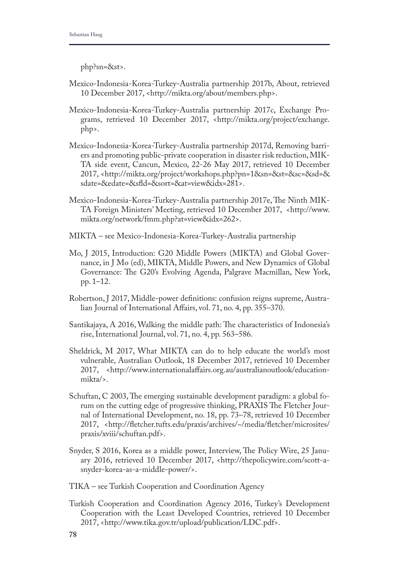php?sn=&st>.

- Mexico-Indonesia-Korea-Turkey-Australia partnership 2017b, About, retrieved 10 December 2017, <http://mikta.org/about/members.php>.
- Mexico-Indonesia-Korea-Turkey-Australia partnership 2017c, Exchange Programs, retrieved 10 December 2017, <http://mikta.org/project/exchange. php>.
- Mexico-Indonesia-Korea-Turkey-Australia partnership 2017d, Removing barriers and promoting public-private cooperation in disaster risk reduction, MIK-TA side event, Cancun, Mexico, 22-26 May 2017, retrieved 10 December 2017, <http://mikta.org/project/workshops.php?pn=1&sn=&st=&sc=&sd=& sdate=&edate=&sfd=&sort=&at=view&idx=281>.
- Mexico-Indonesia-Korea-Turkey-Australia partnership 2017e, The Ninth MIK-TA Foreign Ministers' Meeting, retrieved 10 December 2017, <http://www. mikta.org/network/fmm.php?at=view&idx=262>.
- MIKTA see Mexico-Indonesia-Korea-Turkey-Australia partnership
- Mo, J 2015, Introduction: G20 Middle Powers (MIKTA) and Global Governance, in J Mo (ed), MIKTA, Middle Powers, and New Dynamics of Global Governance: The G20's Evolving Agenda, Palgrave Macmillan, New York, pp. 1–12.
- Robertson, J 2017, Middle-power defnitions: confusion reigns supreme, Australian Journal of International Afairs, vol. 71, no. 4, pp. 355–370.
- Santikajaya, A 2016, Walking the middle path: The characteristics of Indonesia's rise, International Journal, vol. 71, no. 4, pp. 563–586.
- Sheldrick, M 2017, What MIKTA can do to help educate the world's most vulnerable, Australian Outlook, 18 December 2017, retrieved 10 December 2017, <http://www.internationalafairs.org.au/australianoutlook/educationmikta/>.
- Schuftan, C 2003, The emerging sustainable development paradigm: a global forum on the cutting edge of progressive thinking, PRAXIS The Fletcher Journal of International Development, no. 18, pp. 73–78, retrieved 10 December 2017, <http://fetcher.tufts.edu/praxis/archives/~/media/fetcher/microsites/ praxis/xviii/schuftan.pdf>.
- Snyder, S 2016, Korea as a middle power, Interview, The Policy Wire, 25 January 2016, retrieved 10 December 2017, <http://thepolicywire.com/scott-asnyder-korea-as-a-middle-power/>.
- TIKA see Turkish Cooperation and Coordination Agency
- Turkish Cooperation and Coordination Agency 2016, Turkey's Development Cooperation with the Least Developed Countries, retrieved 10 December 2017, <http://www.tika.gov.tr/upload/publication/LDC.pdf>.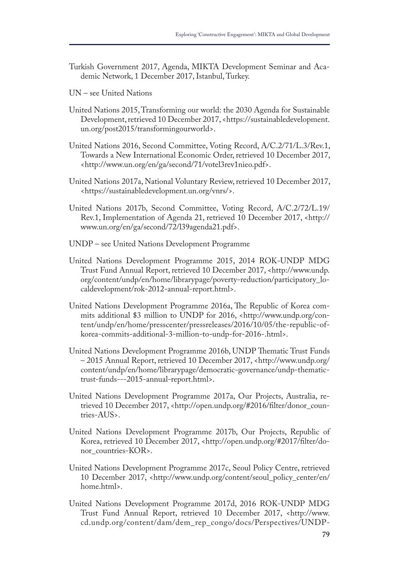- Turkish Government 2017, Agenda, MIKTA Development Seminar and Academic Network, 1 December 2017, Istanbul, Turkey.
- UN see United Nations
- United Nations 2015, Transforming our world: the 2030 Agenda for Sustainable Development, retrieved 10 December 2017, <https://sustainabledevelopment. un.org/post2015/transformingourworld>.
- United Nations 2016, Second Committee, Voting Record, A/C.2/71/L.3/Rev.1, Towards a New International Economic Order, retrieved 10 December 2017, <http://www.un.org/en/ga/second/71/votel3rev1nieo.pdf>.
- United Nations 2017a, National Voluntary Review, retrieved 10 December 2017, <https://sustainabledevelopment.un.org/vnrs/>.
- United Nations 2017b, Second Committee, Voting Record, A/C.2/72/L.19/ Rev.1, Implementation of Agenda 21, retrieved 10 December 2017, <http:// www.un.org/en/ga/second/72/l39agenda21.pdf>.
- UNDP see United Nations Development Programme
- United Nations Development Programme 2015, 2014 ROK-UNDP MDG Trust Fund Annual Report, retrieved 10 December 2017, <http://www.undp. org/content/undp/en/home/librarypage/poverty-reduction/participatory\_localdevelopment/rok-2012-annual-report.html>.
- United Nations Development Programme 2016a, The Republic of Korea commits additional \$3 million to UNDP for 2016, <http://www.undp.org/content/undp/en/home/presscenter/pressreleases/2016/10/05/the-republic-ofkorea-commits-additional-3-million-to-undp-for-2016-.html>.
- United Nations Development Programme 2016b, UNDP Thematic Trust Funds – 2015 Annual Report, retrieved 10 December 2017, <http://www.undp.org/ content/undp/en/home/librarypage/democratic-governance/undp-thematictrust-funds---2015-annual-report.html>.
- United Nations Development Programme 2017a, Our Projects, Australia, retrieved 10 December 2017, <http://open.undp.org/#2016/flter/donor\_countries-AUS>.
- United Nations Development Programme 2017b, Our Projects, Republic of Korea, retrieved 10 December 2017, <http://open.undp.org/#2017/flter/donor\_countries-KOR>.
- United Nations Development Programme 2017c, Seoul Policy Centre, retrieved 10 December 2017, <http://www.undp.org/content/seoul\_policy\_center/en/ home.html>.
- United Nations Development Programme 2017d, 2016 ROK-UNDP MDG Trust Fund Annual Report, retrieved 10 December 2017, <http://www. cd.undp.org/content/dam/dem\_rep\_congo/docs/Perspectives/UNDP-